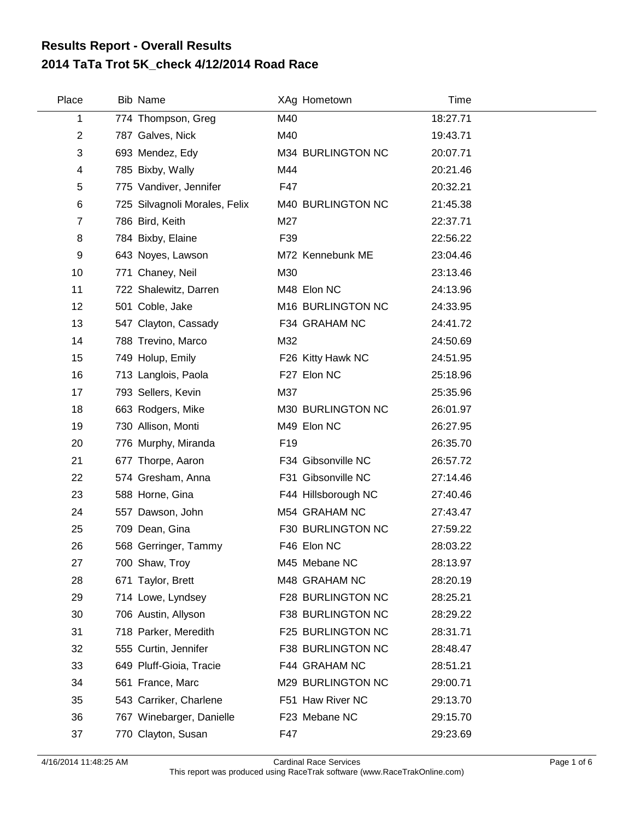## **2014 TaTa Trot 5K\_check 4/12/2014 Road Race Results Report - Overall Results**

| Place          | <b>Bib Name</b>               | XAg Hometown        | <b>Time</b> |
|----------------|-------------------------------|---------------------|-------------|
| 1              | 774 Thompson, Greg            | M40                 | 18:27.71    |
| $\overline{c}$ | 787 Galves, Nick              | M40                 | 19:43.71    |
| 3              | 693 Mendez, Edy               | M34 BURLINGTON NC   | 20:07.71    |
| 4              | 785 Bixby, Wally              | M44                 | 20:21.46    |
| 5              | 775 Vandiver, Jennifer        | F47                 | 20:32.21    |
| 6              | 725 Silvagnoli Morales, Felix | M40 BURLINGTON NC   | 21:45.38    |
| $\overline{7}$ | 786 Bird, Keith               | M27                 | 22:37.71    |
| 8              | 784 Bixby, Elaine             | F39                 | 22:56.22    |
| 9              | 643 Noyes, Lawson             | M72 Kennebunk ME    | 23:04.46    |
| 10             | 771 Chaney, Neil              | M30                 | 23:13.46    |
| 11             | 722 Shalewitz, Darren         | M48 Elon NC         | 24:13.96    |
| 12             | 501 Coble, Jake               | M16 BURLINGTON NC   | 24:33.95    |
| 13             | 547 Clayton, Cassady          | F34 GRAHAM NC       | 24:41.72    |
| 14             | 788 Trevino, Marco            | M32                 | 24:50.69    |
| 15             | 749 Holup, Emily              | F26 Kitty Hawk NC   | 24:51.95    |
| 16             | 713 Langlois, Paola           | F27 Elon NC         | 25:18.96    |
| 17             | 793 Sellers, Kevin            | M37                 | 25:35.96    |
| 18             | 663 Rodgers, Mike             | M30 BURLINGTON NC   | 26:01.97    |
| 19             | 730 Allison, Monti            | M49 Elon NC         | 26:27.95    |
| 20             | 776 Murphy, Miranda           | F <sub>19</sub>     | 26:35.70    |
| 21             | 677 Thorpe, Aaron             | F34 Gibsonville NC  | 26:57.72    |
| 22             | 574 Gresham, Anna             | F31 Gibsonville NC  | 27:14.46    |
| 23             | 588 Horne, Gina               | F44 Hillsborough NC | 27:40.46    |
| 24             | 557 Dawson, John              | M54 GRAHAM NC       | 27:43.47    |
| 25             | 709 Dean, Gina                | F30 BURLINGTON NC   | 27:59.22    |
| 26             | 568 Gerringer, Tammy          | F46 Elon NC         | 28:03.22    |
| 27             | 700 Shaw, Troy                | M45 Mebane NC       | 28:13.97    |
| 28             | 671 Taylor, Brett             | M48 GRAHAM NC       | 28:20.19    |
| 29             | 714 Lowe, Lyndsey             | F28 BURLINGTON NC   | 28:25.21    |
| 30             | 706 Austin, Allyson           | F38 BURLINGTON NC   | 28:29.22    |
| 31             | 718 Parker, Meredith          | F25 BURLINGTON NC   | 28:31.71    |
| 32             | 555 Curtin, Jennifer          | F38 BURLINGTON NC   | 28:48.47    |
| 33             | 649 Pluff-Gioia, Tracie       | F44 GRAHAM NC       | 28:51.21    |
| 34             | 561 France, Marc              | M29 BURLINGTON NC   | 29:00.71    |
| 35             | 543 Carriker, Charlene        | F51 Haw River NC    | 29:13.70    |
| 36             | 767 Winebarger, Danielle      | F23 Mebane NC       | 29:15.70    |
| 37             | 770 Clayton, Susan            | F47                 | 29:23.69    |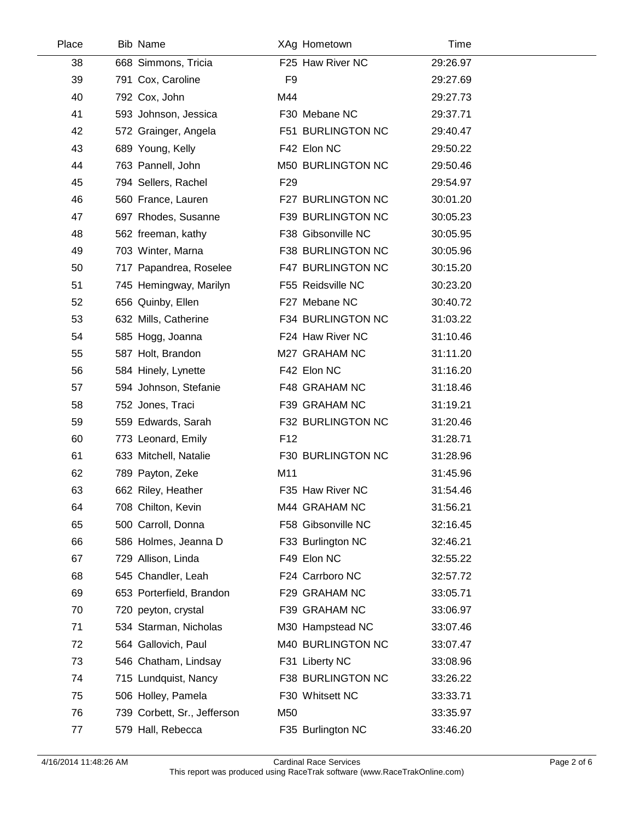| Place | <b>Bib Name</b>             |                 | XAg Hometown       | Time     |  |
|-------|-----------------------------|-----------------|--------------------|----------|--|
| 38    | 668 Simmons, Tricia         |                 | F25 Haw River NC   | 29:26.97 |  |
| 39    | 791 Cox, Caroline           | F <sub>9</sub>  |                    | 29:27.69 |  |
| 40    | 792 Cox, John               | M44             |                    | 29:27.73 |  |
| 41    | 593 Johnson, Jessica        |                 | F30 Mebane NC      | 29:37.71 |  |
| 42    | 572 Grainger, Angela        |                 | F51 BURLINGTON NC  | 29:40.47 |  |
| 43    | 689 Young, Kelly            |                 | F42 Elon NC        | 29:50.22 |  |
| 44    | 763 Pannell, John           |                 | M50 BURLINGTON NC  | 29:50.46 |  |
| 45    | 794 Sellers, Rachel         | F <sub>29</sub> |                    | 29:54.97 |  |
| 46    | 560 France, Lauren          |                 | F27 BURLINGTON NC  | 30:01.20 |  |
| 47    | 697 Rhodes, Susanne         |                 | F39 BURLINGTON NC  | 30:05.23 |  |
| 48    | 562 freeman, kathy          |                 | F38 Gibsonville NC | 30:05.95 |  |
| 49    | 703 Winter, Marna           |                 | F38 BURLINGTON NC  | 30:05.96 |  |
| 50    | 717 Papandrea, Roselee      |                 | F47 BURLINGTON NC  | 30:15.20 |  |
| 51    | 745 Hemingway, Marilyn      |                 | F55 Reidsville NC  | 30:23.20 |  |
| 52    | 656 Quinby, Ellen           |                 | F27 Mebane NC      | 30:40.72 |  |
| 53    | 632 Mills, Catherine        |                 | F34 BURLINGTON NC  | 31:03.22 |  |
| 54    | 585 Hogg, Joanna            |                 | F24 Haw River NC   | 31:10.46 |  |
| 55    | 587 Holt, Brandon           |                 | M27 GRAHAM NC      | 31:11.20 |  |
| 56    | 584 Hinely, Lynette         |                 | F42 Elon NC        | 31:16.20 |  |
| 57    | 594 Johnson, Stefanie       |                 | F48 GRAHAM NC      | 31:18.46 |  |
| 58    | 752 Jones, Traci            |                 | F39 GRAHAM NC      | 31:19.21 |  |
| 59    | 559 Edwards, Sarah          |                 | F32 BURLINGTON NC  | 31:20.46 |  |
| 60    | 773 Leonard, Emily          | F <sub>12</sub> |                    | 31:28.71 |  |
| 61    | 633 Mitchell, Natalie       |                 | F30 BURLINGTON NC  | 31:28.96 |  |
| 62    | 789 Payton, Zeke            | M11             |                    | 31:45.96 |  |
| 63    | 662 Riley, Heather          |                 | F35 Haw River NC   | 31:54.46 |  |
| 64    | 708 Chilton, Kevin          |                 | M44 GRAHAM NC      | 31:56.21 |  |
| 65    | 500 Carroll, Donna          |                 | F58 Gibsonville NC | 32:16.45 |  |
| 66    | 586 Holmes, Jeanna D        |                 | F33 Burlington NC  | 32:46.21 |  |
| 67    | 729 Allison, Linda          |                 | F49 Elon NC        | 32:55.22 |  |
| 68    | 545 Chandler, Leah          |                 | F24 Carrboro NC    | 32:57.72 |  |
| 69    | 653 Porterfield, Brandon    |                 | F29 GRAHAM NC      | 33:05.71 |  |
| 70    | 720 peyton, crystal         |                 | F39 GRAHAM NC      | 33:06.97 |  |
| 71    | 534 Starman, Nicholas       |                 | M30 Hampstead NC   | 33:07.46 |  |
| 72    | 564 Gallovich, Paul         |                 | M40 BURLINGTON NC  | 33:07.47 |  |
| 73    | 546 Chatham, Lindsay        |                 | F31 Liberty NC     | 33:08.96 |  |
| 74    | 715 Lundquist, Nancy        |                 | F38 BURLINGTON NC  | 33:26.22 |  |
| 75    | 506 Holley, Pamela          |                 | F30 Whitsett NC    | 33:33.71 |  |
| 76    | 739 Corbett, Sr., Jefferson | M50             |                    | 33:35.97 |  |
| 77    | 579 Hall, Rebecca           |                 | F35 Burlington NC  | 33:46.20 |  |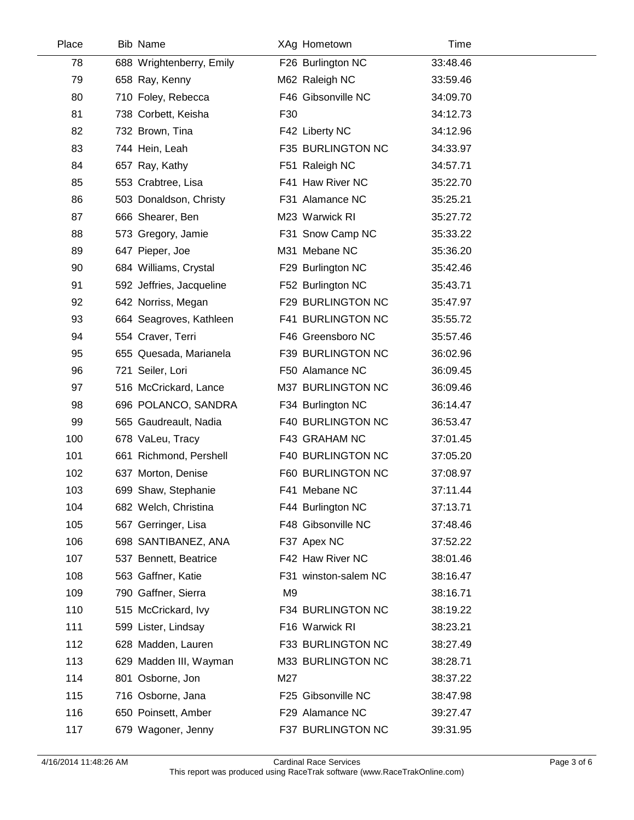| Place | Bib Name                 |     | XAg Hometown         | Time     |  |
|-------|--------------------------|-----|----------------------|----------|--|
| 78    | 688 Wrightenberry, Emily |     | F26 Burlington NC    | 33:48.46 |  |
| 79    | 658 Ray, Kenny           |     | M62 Raleigh NC       | 33:59.46 |  |
| 80    | 710 Foley, Rebecca       |     | F46 Gibsonville NC   | 34:09.70 |  |
| 81    | 738 Corbett, Keisha      | F30 |                      | 34:12.73 |  |
| 82    | 732 Brown, Tina          |     | F42 Liberty NC       | 34:12.96 |  |
| 83    | 744 Hein, Leah           |     | F35 BURLINGTON NC    | 34:33.97 |  |
| 84    | 657 Ray, Kathy           |     | F51 Raleigh NC       | 34:57.71 |  |
| 85    | 553 Crabtree, Lisa       |     | F41 Haw River NC     | 35:22.70 |  |
| 86    | 503 Donaldson, Christy   |     | F31 Alamance NC      | 35:25.21 |  |
| 87    | 666 Shearer, Ben         |     | M23 Warwick RI       | 35:27.72 |  |
| 88    | 573 Gregory, Jamie       |     | F31 Snow Camp NC     | 35:33.22 |  |
| 89    | 647 Pieper, Joe          |     | M31 Mebane NC        | 35:36.20 |  |
| 90    | 684 Williams, Crystal    |     | F29 Burlington NC    | 35:42.46 |  |
| 91    | 592 Jeffries, Jacqueline |     | F52 Burlington NC    | 35:43.71 |  |
| 92    | 642 Norriss, Megan       |     | F29 BURLINGTON NC    | 35:47.97 |  |
| 93    | 664 Seagroves, Kathleen  |     | F41 BURLINGTON NC    | 35:55.72 |  |
| 94    | 554 Craver, Terri        |     | F46 Greensboro NC    | 35:57.46 |  |
| 95    | 655 Quesada, Marianela   |     | F39 BURLINGTON NC    | 36:02.96 |  |
| 96    | 721 Seiler, Lori         |     | F50 Alamance NC      | 36:09.45 |  |
| 97    | 516 McCrickard, Lance    |     | M37 BURLINGTON NC    | 36:09.46 |  |
| 98    | 696 POLANCO, SANDRA      |     | F34 Burlington NC    | 36:14.47 |  |
| 99    | 565 Gaudreault, Nadia    |     | F40 BURLINGTON NC    | 36:53.47 |  |
| 100   | 678 VaLeu, Tracy         |     | F43 GRAHAM NC        | 37:01.45 |  |
| 101   | 661 Richmond, Pershell   |     | F40 BURLINGTON NC    | 37:05.20 |  |
| 102   | 637 Morton, Denise       |     | F60 BURLINGTON NC    | 37:08.97 |  |
| 103   | 699 Shaw, Stephanie      |     | F41 Mebane NC        | 37:11.44 |  |
| 104   | 682 Welch, Christina     |     | F44 Burlington NC    | 37:13.71 |  |
| 105   | 567 Gerringer, Lisa      |     | F48 Gibsonville NC   | 37:48.46 |  |
| 106   | 698 SANTIBANEZ, ANA      |     | F37 Apex NC          | 37:52.22 |  |
| 107   | 537 Bennett, Beatrice    |     | F42 Haw River NC     | 38:01.46 |  |
| 108   | 563 Gaffner, Katie       |     | F31 winston-salem NC | 38:16.47 |  |
| 109   | 790 Gaffner, Sierra      | M9  |                      | 38:16.71 |  |
| 110   | 515 McCrickard, Ivy      |     | F34 BURLINGTON NC    | 38:19.22 |  |
| 111   | 599 Lister, Lindsay      |     | F16 Warwick RI       | 38:23.21 |  |
| 112   | 628 Madden, Lauren       |     | F33 BURLINGTON NC    | 38:27.49 |  |
| 113   | 629 Madden III, Wayman   |     | M33 BURLINGTON NC    | 38:28.71 |  |
| 114   | 801 Osborne, Jon         | M27 |                      | 38:37.22 |  |
| 115   | 716 Osborne, Jana        |     | F25 Gibsonville NC   | 38:47.98 |  |
| 116   | 650 Poinsett, Amber      |     | F29 Alamance NC      | 39:27.47 |  |
| 117   | 679 Wagoner, Jenny       |     | F37 BURLINGTON NC    | 39:31.95 |  |

 $\overline{\phantom{a}}$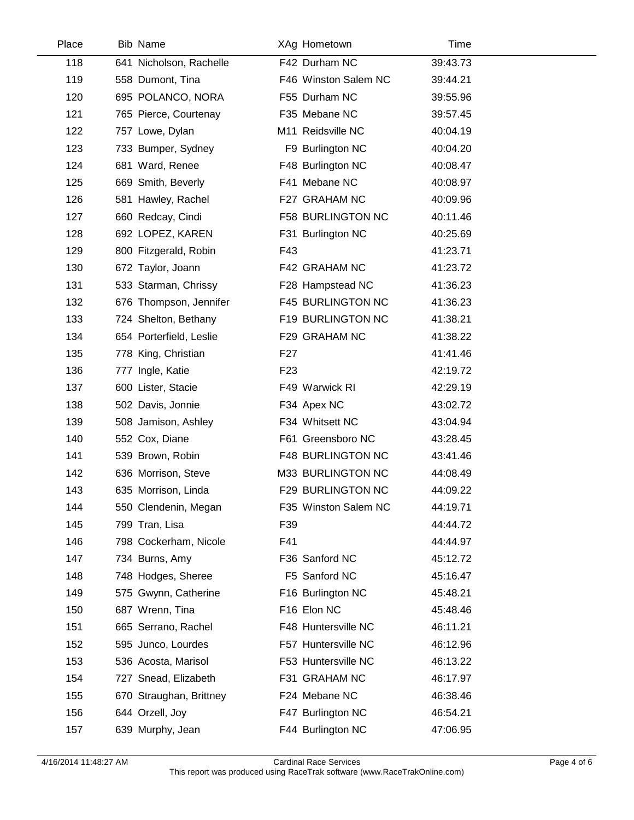| Place | <b>Bib Name</b>         |                 | XAg Hometown             | Time     |  |
|-------|-------------------------|-----------------|--------------------------|----------|--|
| 118   | 641 Nicholson, Rachelle |                 | F42 Durham NC            | 39:43.73 |  |
| 119   | 558 Dumont, Tina        |                 | F46 Winston Salem NC     | 39:44.21 |  |
| 120   | 695 POLANCO, NORA       |                 | F55 Durham NC            | 39:55.96 |  |
| 121   | 765 Pierce, Courtenay   |                 | F35 Mebane NC            | 39:57.45 |  |
| 122   | 757 Lowe, Dylan         |                 | M11 Reidsville NC        | 40:04.19 |  |
| 123   | 733 Bumper, Sydney      |                 | F9 Burlington NC         | 40:04.20 |  |
| 124   | 681 Ward, Renee         |                 | F48 Burlington NC        | 40:08.47 |  |
| 125   | 669 Smith, Beverly      |                 | F41 Mebane NC            | 40:08.97 |  |
| 126   | 581 Hawley, Rachel      |                 | F27 GRAHAM NC            | 40:09.96 |  |
| 127   | 660 Redcay, Cindi       |                 | F58 BURLINGTON NC        | 40:11.46 |  |
| 128   | 692 LOPEZ, KAREN        |                 | F31 Burlington NC        | 40:25.69 |  |
| 129   | 800 Fitzgerald, Robin   | F43             |                          | 41:23.71 |  |
| 130   | 672 Taylor, Joann       |                 | F42 GRAHAM NC            | 41:23.72 |  |
| 131   | 533 Starman, Chrissy    |                 | F28 Hampstead NC         | 41:36.23 |  |
| 132   | 676 Thompson, Jennifer  |                 | <b>F45 BURLINGTON NC</b> | 41:36.23 |  |
| 133   | 724 Shelton, Bethany    |                 | F19 BURLINGTON NC        | 41:38.21 |  |
| 134   | 654 Porterfield, Leslie |                 | F29 GRAHAM NC            | 41:38.22 |  |
| 135   | 778 King, Christian     | F27             |                          | 41:41.46 |  |
| 136   | 777 Ingle, Katie        | F <sub>23</sub> |                          | 42:19.72 |  |
| 137   | 600 Lister, Stacie      |                 | F49 Warwick RI           | 42:29.19 |  |
| 138   | 502 Davis, Jonnie       |                 | F34 Apex NC              | 43:02.72 |  |
| 139   | 508 Jamison, Ashley     |                 | F34 Whitsett NC          | 43:04.94 |  |
| 140   | 552 Cox, Diane          |                 | F61 Greensboro NC        | 43:28.45 |  |
| 141   | 539 Brown, Robin        |                 | <b>F48 BURLINGTON NC</b> | 43:41.46 |  |
| 142   | 636 Morrison, Steve     |                 | M33 BURLINGTON NC        | 44:08.49 |  |
| 143   | 635 Morrison, Linda     |                 | F29 BURLINGTON NC        | 44:09.22 |  |
| 144   | 550 Clendenin, Megan    |                 | F35 Winston Salem NC     | 44:19.71 |  |
| 145   | 799 Tran, Lisa          | F39             |                          | 44:44.72 |  |
| 146   | 798 Cockerham, Nicole   | F41             |                          | 44:44.97 |  |
| 147   | 734 Burns, Amy          |                 | F36 Sanford NC           | 45:12.72 |  |
| 148   | 748 Hodges, Sheree      |                 | F5 Sanford NC            | 45:16.47 |  |
| 149   | 575 Gwynn, Catherine    |                 | F16 Burlington NC        | 45:48.21 |  |
| 150   | 687 Wrenn, Tina         |                 | F16 Elon NC              | 45:48.46 |  |
| 151   | 665 Serrano, Rachel     |                 | F48 Huntersville NC      | 46:11.21 |  |
| 152   | 595 Junco, Lourdes      |                 | F57 Huntersville NC      | 46:12.96 |  |
| 153   | 536 Acosta, Marisol     |                 | F53 Huntersville NC      | 46:13.22 |  |
| 154   | 727 Snead, Elizabeth    |                 | F31 GRAHAM NC            | 46:17.97 |  |
| 155   | 670 Straughan, Brittney |                 | F24 Mebane NC            | 46:38.46 |  |
| 156   | 644 Orzell, Joy         |                 | F47 Burlington NC        | 46:54.21 |  |
| 157   | 639 Murphy, Jean        |                 | F44 Burlington NC        | 47:06.95 |  |
|       |                         |                 |                          |          |  |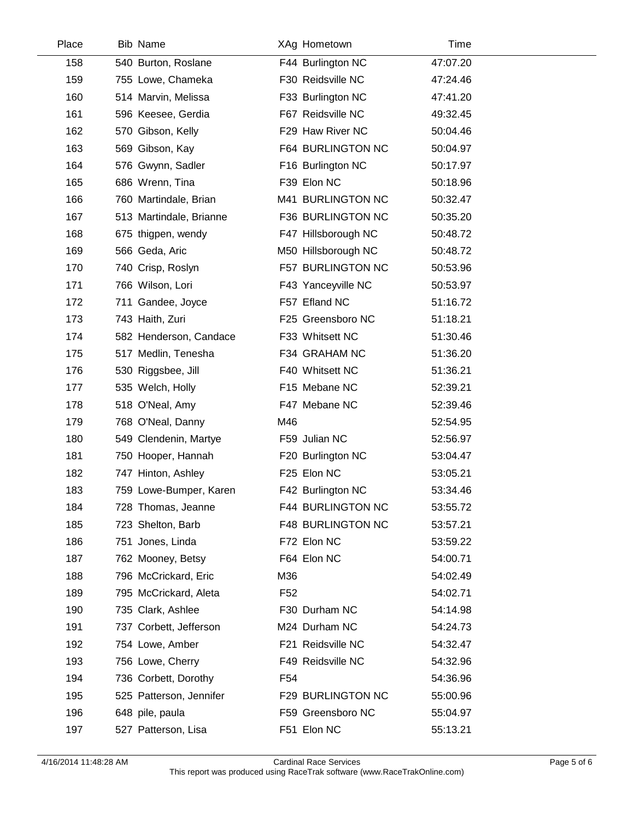| Place | <b>Bib Name</b>         | XAg Hometown             | Time     |  |
|-------|-------------------------|--------------------------|----------|--|
| 158   | 540 Burton, Roslane     | F44 Burlington NC        | 47:07.20 |  |
| 159   | 755 Lowe, Chameka       | F30 Reidsville NC        | 47:24.46 |  |
| 160   | 514 Marvin, Melissa     | F33 Burlington NC        | 47:41.20 |  |
| 161   | 596 Keesee, Gerdia      | F67 Reidsville NC        | 49:32.45 |  |
| 162   | 570 Gibson, Kelly       | F29 Haw River NC         | 50:04.46 |  |
| 163   | 569 Gibson, Kay         | F64 BURLINGTON NC        | 50:04.97 |  |
| 164   | 576 Gwynn, Sadler       | F16 Burlington NC        | 50:17.97 |  |
| 165   | 686 Wrenn, Tina         | F39 Elon NC              | 50:18.96 |  |
| 166   | 760 Martindale, Brian   | M41 BURLINGTON NC        | 50:32.47 |  |
| 167   | 513 Martindale, Brianne | F36 BURLINGTON NC        | 50:35.20 |  |
| 168   | 675 thigpen, wendy      | F47 Hillsborough NC      | 50:48.72 |  |
| 169   | 566 Geda, Aric          | M50 Hillsborough NC      | 50:48.72 |  |
| 170   | 740 Crisp, Roslyn       | F57 BURLINGTON NC        | 50:53.96 |  |
| 171   | 766 Wilson, Lori        | F43 Yanceyville NC       | 50:53.97 |  |
| 172   | 711 Gandee, Joyce       | F57 Efland NC            | 51:16.72 |  |
| 173   | 743 Haith, Zuri         | F25 Greensboro NC        | 51:18.21 |  |
| 174   | 582 Henderson, Candace  | F33 Whitsett NC          | 51:30.46 |  |
| 175   | 517 Medlin, Tenesha     | F34 GRAHAM NC            | 51:36.20 |  |
| 176   | 530 Riggsbee, Jill      | F40 Whitsett NC          | 51:36.21 |  |
| 177   | 535 Welch, Holly        | F15 Mebane NC            | 52:39.21 |  |
| 178   | 518 O'Neal, Amy         | F47 Mebane NC            | 52:39.46 |  |
| 179   | 768 O'Neal, Danny       | M46                      | 52:54.95 |  |
| 180   | 549 Clendenin, Martye   | F59 Julian NC            | 52:56.97 |  |
| 181   | 750 Hooper, Hannah      | F20 Burlington NC        | 53:04.47 |  |
| 182   | 747 Hinton, Ashley      | F25 Elon NC              | 53:05.21 |  |
| 183   | 759 Lowe-Bumper, Karen  | F42 Burlington NC        | 53:34.46 |  |
| 184   | 728 Thomas, Jeanne      | <b>F44 BURLINGTON NC</b> | 53:55.72 |  |
| 185   | 723 Shelton, Barb       | F48 BURLINGTON NC        | 53:57.21 |  |
| 186   | 751 Jones, Linda        | F72 Elon NC              | 53:59.22 |  |
| 187   | 762 Mooney, Betsy       | F64 Elon NC              | 54:00.71 |  |
| 188   | 796 McCrickard, Eric    | M36                      | 54:02.49 |  |
| 189   | 795 McCrickard, Aleta   | F52                      | 54:02.71 |  |
| 190   | 735 Clark, Ashlee       | F30 Durham NC            | 54:14.98 |  |
| 191   | 737 Corbett, Jefferson  | M24 Durham NC            | 54:24.73 |  |
| 192   | 754 Lowe, Amber         | F21 Reidsville NC        | 54:32.47 |  |
| 193   | 756 Lowe, Cherry        | F49 Reidsville NC        | 54:32.96 |  |
| 194   | 736 Corbett, Dorothy    | F54                      | 54:36.96 |  |
| 195   | 525 Patterson, Jennifer | F29 BURLINGTON NC        | 55:00.96 |  |
| 196   | 648 pile, paula         | F59 Greensboro NC        | 55:04.97 |  |
| 197   | 527 Patterson, Lisa     | F51 Elon NC              | 55:13.21 |  |